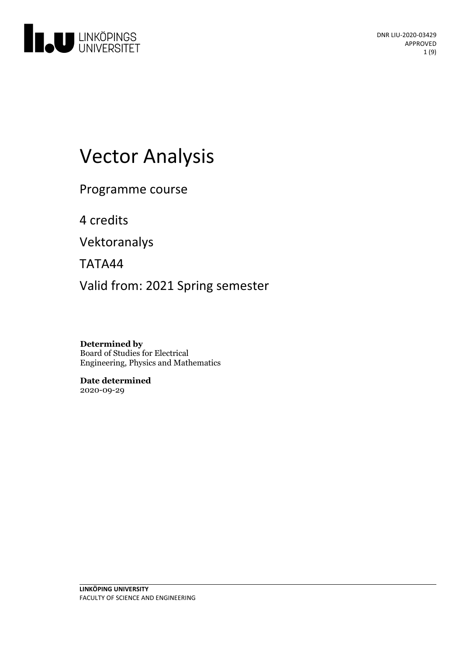

# Vector Analysis

Programme course

4 credits

Vektoranalys

TATA44

Valid from: 2021 Spring semester

**Determined by** Board of Studies for Electrical Engineering, Physics and Mathematics

**Date determined** 2020-09-29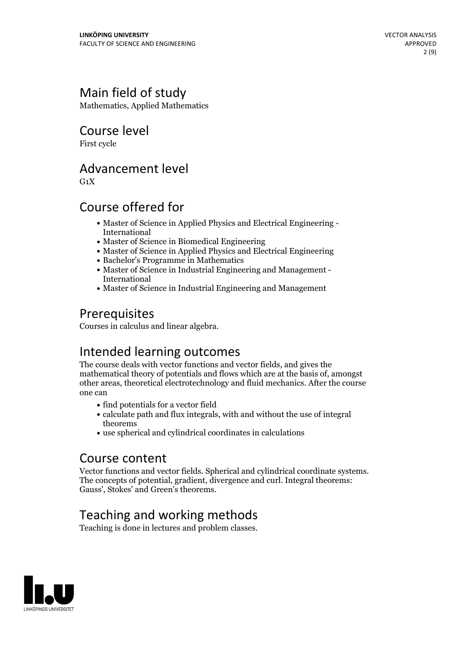# Main field of study

Mathematics, Applied Mathematics

Course level

First cycle

# Advancement level

 $G_1X$ 

# Course offered for

- Master of Science in Applied Physics and Electrical Engineering International
- Master of Science in Biomedical Engineering
- Master of Science in Applied Physics and Electrical Engineering
- Bachelor's Programme in Mathematics
- Master of Science in Industrial Engineering and Management International
- Master of Science in Industrial Engineering and Management

# Prerequisites

Courses in calculus and linear algebra.

# Intended learning outcomes

The course deals with vector functions and vector fields, and gives the mathematical theory of potentials and flows which are at the basis of, amongst other areas, theoretical electrotechnology and fluid mechanics. After the course one can

- find potentials for a vector field
- $\bullet$  calculate path and flux integrals, with and without the use of integral theorems
- use spherical and cylindrical coordinates in calculations

### Course content

Vector functions and vector fields. Spherical and cylindrical coordinate systems. The concepts of potential, gradient, divergence and curl.Integral theorems: Gauss', Stokes' and Green's theorems.

# Teaching and working methods

Teaching is done in lectures and problem classes.

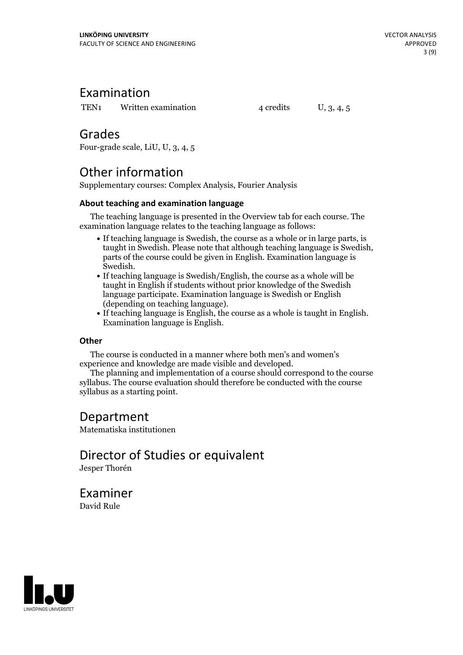# Examination

TEN<sub>1</sub> Written examination  $4$  credits  $U$ , 3, 4, 5

# Grades

Four-grade scale, LiU, U, 3, 4, 5

# Other information

Supplementary courses: Complex Analysis, Fourier Analysis

### **About teaching and examination language**

The teaching language is presented in the Overview tab for each course. The examination language relates to the teaching language as follows:

- If teaching language is Swedish, the course as a whole or in large parts, is taught in Swedish. Please note that although teaching language is Swedish, parts of the course could be given in English. Examination language is
- Swedish.<br>• If teaching language is Swedish/English, the course as a whole will be taught in English if students without prior knowledge of the Swedish language participate. Examination language is Swedish or English
- $\bullet$  If teaching language is English, the course as a whole is taught in English. Examination language is English.

### **Other**

The course is conducted in a manner where both men's and women's

The planning and implementation of a course should correspond to the course syllabus. The course evaluation should therefore be conducted with the course syllabus as a starting point.

# Department

Matematiska institutionen

Director of Studies or equivalent Jesper Thorén

Examiner David Rule

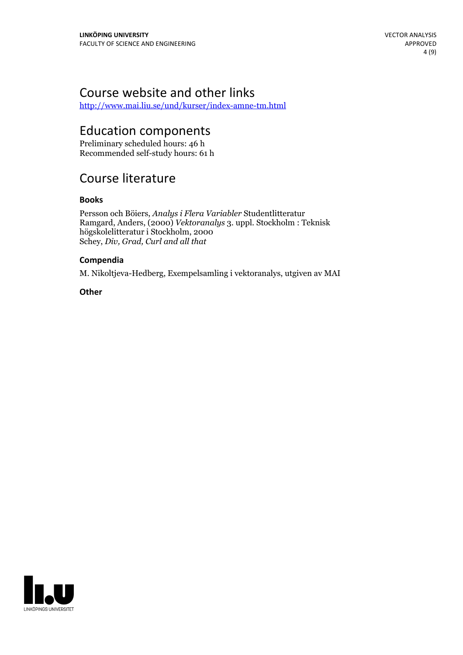# Course website and other links

<http://www.mai.liu.se/und/kurser/index-amne-tm.html>

## Education components

Preliminary scheduled hours: 46 h Recommended self-study hours: 61 h

# Course literature

### **Books**

Persson och Böiers, *Analys i Flera Variabler* Studentlitteratur Ramgard, Anders, (2000) *Vektoranalys* 3. uppl. Stockholm : Teknisk högskolelitteratur i Stockholm, 2000 Schey, *Div, Grad, Curl and all that*

### **Compendia**

M. Nikoltjeva-Hedberg, Exempelsamling i vektoranalys, utgiven av MAI

**Other**

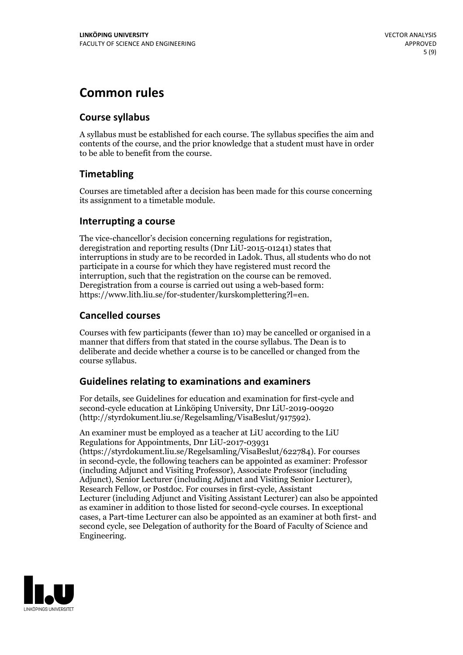# **Common rules**

### **Course syllabus**

A syllabus must be established for each course. The syllabus specifies the aim and contents of the course, and the prior knowledge that a student must have in order to be able to benefit from the course.

### **Timetabling**

Courses are timetabled after a decision has been made for this course concerning its assignment to a timetable module.

### **Interrupting a course**

The vice-chancellor's decision concerning regulations for registration, deregistration and reporting results (Dnr LiU-2015-01241) states that interruptions in study are to be recorded in Ladok. Thus, all students who do not participate in a course for which they have registered must record the interruption, such that the registration on the course can be removed. Deregistration from <sup>a</sup> course is carried outusing <sup>a</sup> web-based form: https://www.lith.liu.se/for-studenter/kurskomplettering?l=en.

### **Cancelled courses**

Courses with few participants (fewer than 10) may be cancelled or organised in a manner that differs from that stated in the course syllabus. The Dean is to deliberate and decide whether a course is to be cancelled or changed from the course syllabus.

### **Guidelines relatingto examinations and examiners**

For details, see Guidelines for education and examination for first-cycle and second-cycle education at Linköping University, Dnr LiU-2019-00920 (http://styrdokument.liu.se/Regelsamling/VisaBeslut/917592).

An examiner must be employed as a teacher at LiU according to the LiU Regulations for Appointments, Dnr LiU-2017-03931 (https://styrdokument.liu.se/Regelsamling/VisaBeslut/622784). For courses in second-cycle, the following teachers can be appointed as examiner: Professor (including Adjunct and Visiting Professor), Associate Professor (including Adjunct), Senior Lecturer (including Adjunct and Visiting Senior Lecturer), Research Fellow, or Postdoc. For courses in first-cycle, Assistant Lecturer (including Adjunct and Visiting Assistant Lecturer) can also be appointed as examiner in addition to those listed for second-cycle courses. In exceptional cases, a Part-time Lecturer can also be appointed as an examiner at both first- and second cycle, see Delegation of authority for the Board of Faculty of Science and Engineering.

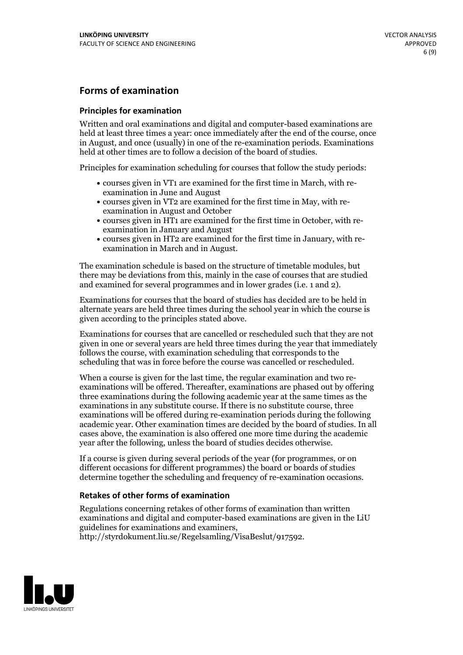### **Forms of examination**

### **Principles for examination**

Written and oral examinations and digital and computer-based examinations are held at least three times a year: once immediately after the end of the course, once in August, and once (usually) in one of the re-examination periods. Examinations held at other times are to follow a decision of the board of studies.

Principles for examination scheduling for courses that follow the study periods:

- courses given in VT1 are examined for the first time in March, with re-examination in June and August
- courses given in VT2 are examined for the first time in May, with re-examination in August and October
- courses given in HT1 are examined for the first time in October, with re-examination in January and August
- courses given in HT2 are examined for the first time in January, with re-examination in March and in August.

The examination schedule is based on the structure of timetable modules, but there may be deviations from this, mainly in the case of courses that are studied and examined for several programmes and in lower grades (i.e. 1 and 2).

Examinations for courses that the board of studies has decided are to be held in alternate years are held three times during the school year in which the course is given according to the principles stated above.

Examinations for courses that are cancelled orrescheduled such that they are not given in one or several years are held three times during the year that immediately follows the course, with examination scheduling that corresponds to the scheduling that was in force before the course was cancelled or rescheduled.

When a course is given for the last time, the regular examination and two re-<br>examinations will be offered. Thereafter, examinations are phased out by offering three examinations during the following academic year at the same times as the examinations in any substitute course. If there is no substitute course, three examinations will be offered during re-examination periods during the following academic year. Other examination times are decided by the board of studies. In all cases above, the examination is also offered one more time during the academic year after the following, unless the board of studies decides otherwise.

If a course is given during several periods of the year (for programmes, or on different occasions for different programmes) the board or boards of studies determine together the scheduling and frequency of re-examination occasions.

### **Retakes of other forms of examination**

Regulations concerning retakes of other forms of examination than written examinations and digital and computer-based examinations are given in the LiU guidelines for examinations and examiners, http://styrdokument.liu.se/Regelsamling/VisaBeslut/917592.

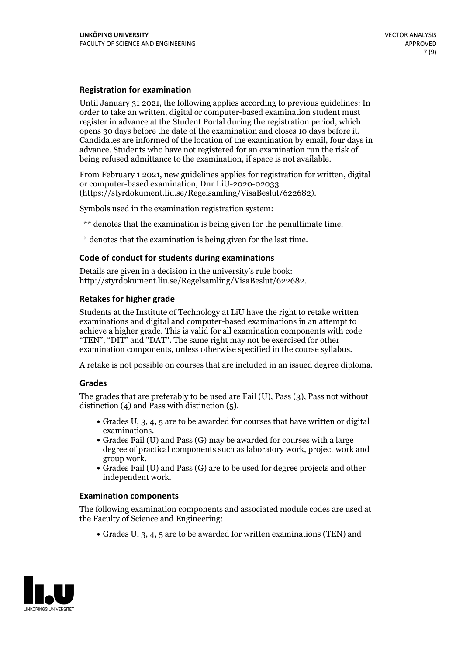### **Registration for examination**

Until January 31 2021, the following applies according to previous guidelines: In order to take an written, digital or computer-based examination student must register in advance at the Student Portal during the registration period, which Candidates are informed of the location of the examination by email, four days in advance. Students who have not registered for an examination run the risk of being refused admittance to the examination, if space is not available.

From February 1 2021, new guidelines applies for registration for written, digital or computer-based examination, Dnr LiU-2020-02033 (https://styrdokument.liu.se/Regelsamling/VisaBeslut/622682).

Symbols used in the examination registration system:

\*\* denotes that the examination is being given for the penultimate time.

\* denotes that the examination is being given for the last time.

#### **Code of conduct for students during examinations**

Details are given in a decision in the university's rule book: http://styrdokument.liu.se/Regelsamling/VisaBeslut/622682.

### **Retakes for higher grade**

Students at the Institute of Technology at LiU have the right to retake written examinations and digital and computer-based examinations in an attempt to achieve a higher grade. This is valid for all examination components with code "TEN", "DIT" and "DAT". The same right may not be exercised for other examination components, unless otherwise specified in the course syllabus.

A retake is not possible on courses that are included in an issued degree diploma.

#### **Grades**

The grades that are preferably to be used are Fail (U), Pass (3), Pass not without distinction  $(4)$  and Pass with distinction  $(5)$ .

- Grades U, 3, 4, 5 are to be awarded for courses that have written or digital
- examinations.<br>• Grades Fail (U) and Pass (G) may be awarded for courses with a large degree of practical components such as laboratory work, project work and
- $\bullet$  Grades Fail (U) and Pass (G) are to be used for degree projects and other independent work.

#### **Examination components**

The following examination components and associated module codes are used at the Faculty of Science and Engineering:

Grades U, 3, 4, 5 are to be awarded for written examinations (TEN) and

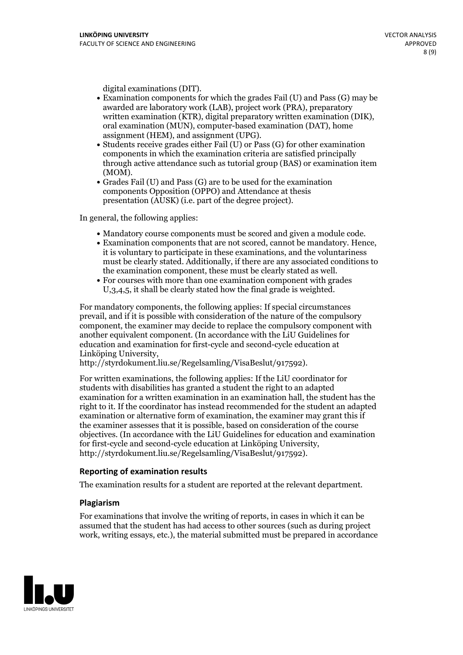- digital examinations (DIT).<br>• Examination components for which the grades Fail (U) and Pass (G) may be awarded are laboratory work (LAB), project work (PRA), preparatory written examination (KTR), digital preparatory written examination (DIK), oral examination (MUN), computer-based examination (DAT), home
- assignment (HEM), and assignment (UPG).<br>• Students receive grades either Fail (U) or Pass (G) for other examination components in which the examination criteria are satisfied principally through active attendance such as tutorial group (BAS) or examination item
- (MOM).<br>• Grades Fail (U) and Pass (G) are to be used for the examination components Opposition (OPPO) and Attendance at thesis presentation (AUSK) (i.e. part of the degree project).

In general, the following applies:

- 
- Mandatory course components must be scored and given <sup>a</sup> module code. Examination components that are not scored, cannot be mandatory. Hence, it is voluntary to participate in these examinations, and the voluntariness must be clearly stated. Additionally, if there are any associated conditions to the examination component, these must be clearly stated as well.<br>• For courses with more than one examination component with grades
- U,3,4,5, it shall be clearly stated how the final grade is weighted.

For mandatory components, the following applies: If special circumstances prevail, and if it is possible with consideration of the nature ofthe compulsory component, the examiner may decide to replace the compulsory component with another equivalent component. (In accordance with the LiU Guidelines for education and examination for first-cycle and second-cycle education at Linköping University, http://styrdokument.liu.se/Regelsamling/VisaBeslut/917592).

For written examinations, the following applies: If the LiU coordinator for students with disabilities has granted a student the right to an adapted examination for a written examination in an examination hall, the student has the right to it. If the coordinator has instead recommended for the student an adapted examination or alternative form of examination, the examiner may grant this if the examiner assesses that it is possible, based on consideration of the course objectives. (In accordance with the LiU Guidelines for education and examination for first-cycle and second-cycle education at Linköping University, http://styrdokument.liu.se/Regelsamling/VisaBeslut/917592).

#### **Reporting of examination results**

The examination results for a student are reported at the relevant department.

#### **Plagiarism**

For examinations that involve the writing of reports, in cases in which it can be assumed that the student has had access to other sources (such as during project work, writing essays, etc.), the material submitted must be prepared in accordance